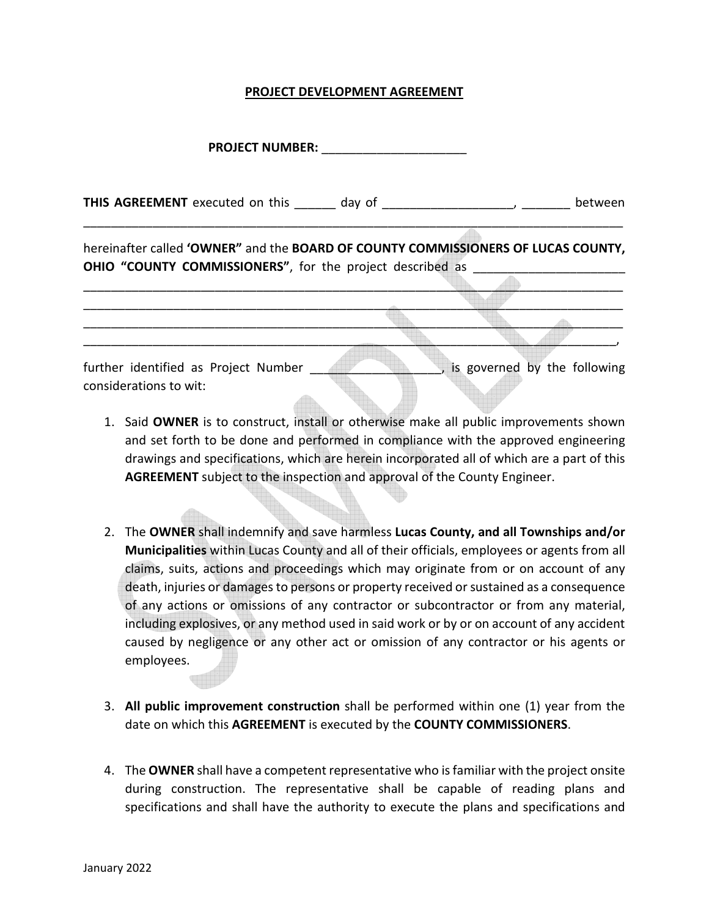## **PROJECT DEVELOPMENT AGREEMENT**

**PROJECT NUMBER:** \_\_\_\_\_\_\_\_\_\_\_\_\_\_\_\_\_\_\_\_\_

**THIS AGREEMENT** executed on this \_\_\_\_\_\_ day of \_\_\_\_\_\_\_\_\_\_\_\_\_\_\_\_\_\_\_\_, \_\_\_\_\_\_\_ between \_\_\_\_\_\_\_\_\_\_\_\_\_\_\_\_\_\_\_\_\_\_\_\_\_\_\_\_\_\_\_\_\_\_\_\_\_\_\_\_\_\_\_\_\_\_\_\_\_\_\_\_\_\_\_\_\_\_\_\_\_\_\_\_\_\_\_\_\_\_\_\_\_\_\_\_\_\_

hereinafter called **'OWNER"** and the **BOARD OF COUNTY COMMISSIONERS OF LUCAS COUNTY, OHIO "COUNTY COMMISSIONERS"**, for the project described as

\_\_\_\_\_\_\_\_\_\_\_\_\_\_\_\_\_\_\_\_\_\_\_\_\_\_\_\_\_\_\_\_\_\_\_\_\_\_\_\_\_\_\_\_\_\_\_\_\_\_\_\_\_\_\_\_\_\_\_\_\_\_\_\_\_\_\_\_\_\_\_\_\_\_\_\_\_\_ \_\_\_\_\_\_\_\_\_\_\_\_\_\_\_\_\_\_\_\_\_\_\_\_\_\_\_\_\_\_\_\_\_\_\_\_\_\_\_\_\_\_\_\_\_\_\_\_\_\_\_\_\_\_\_\_\_\_\_\_\_\_\_\_\_\_\_\_\_\_\_\_\_\_\_\_\_\_  $\mathcal{L} = \mathcal{L} \cup \mathcal{L}$  $\mathcal{L} = \{ \mathcal{L} \mid \mathcal{L} \in \mathcal{L} \}$ further identified as Project Number \_\_\_\_\_\_\_\_\_\_\_\_\_\_\_\_\_\_\_\_\_, is governed by the following considerations to wit:

- 1. Said **OWNER** is to construct, install or otherwise make all public improvements shown and set forth to be done and performed in compliance with the approved engineering drawings and specifications, which are herein incorporated all of which are a part of this **AGREEMENT** subject to the inspection and approval of the County Engineer.
- 2. The **OWNER** shall indemnify and save harmless **Lucas County, and all Townships and/or Municipalities** within Lucas County and all of their officials, employees or agents from all claims, suits, actions and proceedings which may originate from or on account of any death, injuries or damages to persons or property received or sustained as a consequence of any actions or omissions of any contractor or subcontractor or from any material, including explosives, or any method used in said work or by or on account of any accident caused by negligence or any other act or omission of any contractor or his agents or employees.
- 3. **All public improvement construction** shall be performed within one (1) year from the date on which this **AGREEMENT** is executed by the **COUNTY COMMISSIONERS**.
- 4. The **OWNER** shall have a competent representative who is familiar with the project onsite during construction. The representative shall be capable of reading plans and specifications and shall have the authority to execute the plans and specifications and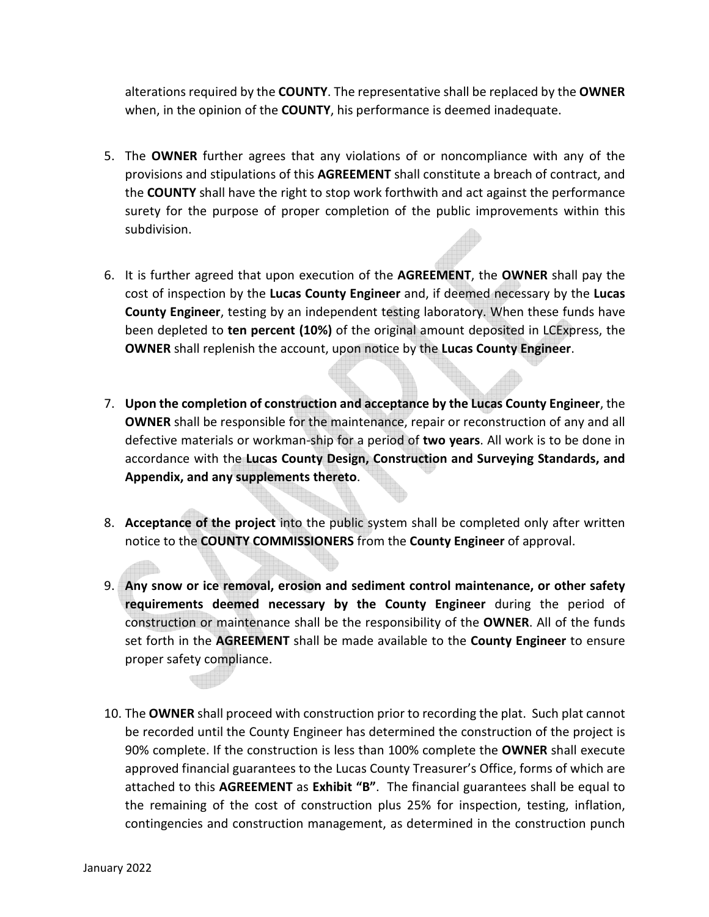alterations required by the **COUNTY**. The representative shall be replaced by the **OWNER**  when, in the opinion of the **COUNTY**, his performance is deemed inadequate.

- 5. The **OWNER** further agrees that any violations of or noncompliance with any of the provisions and stipulations of this **AGREEMENT** shall constitute a breach of contract, and the **COUNTY** shall have the right to stop work forthwith and act against the performance surety for the purpose of proper completion of the public improvements within this subdivision.
- 6. It is further agreed that upon execution of the **AGREEMENT**, the **OWNER** shall pay the cost of inspection by the **Lucas County Engineer** and, if deemed necessary by the **Lucas County Engineer**, testing by an independent testing laboratory. When these funds have been depleted to **ten percent (10%)** of the original amount deposited in LCExpress, the **OWNER** shall replenish the account, upon notice by the **Lucas County Engineer**.
- 7. **Upon the completion of construction and acceptance by the Lucas County Engineer**, the **OWNER** shall be responsible for the maintenance, repair or reconstruction of any and all defective materials or workman-ship for a period of **two years**. All work is to be done in accordance with the **Lucas County Design, Construction and Surveying Standards, and Appendix, and any supplements thereto**.
- 8. **Acceptance of the project** into the public system shall be completed only after written notice to the **COUNTY COMMISSIONERS** from the **County Engineer** of approval.
- 9. **Any snow or ice removal, erosion and sediment control maintenance, or other safety requirements deemed necessary by the County Engineer** during the period of construction or maintenance shall be the responsibility of the **OWNER**. All of the funds set forth in the **AGREEMENT** shall be made available to the **County Engineer** to ensure proper safety compliance.
- 10. The **OWNER** shall proceed with construction prior to recording the plat. Such plat cannot be recorded until the County Engineer has determined the construction of the project is 90% complete. If the construction is less than 100% complete the **OWNER** shall execute approved financial guarantees to the Lucas County Treasurer's Office, forms of which are attached to this **AGREEMENT** as **Exhibit "B"**. The financial guarantees shall be equal to the remaining of the cost of construction plus 25% for inspection, testing, inflation, contingencies and construction management, as determined in the construction punch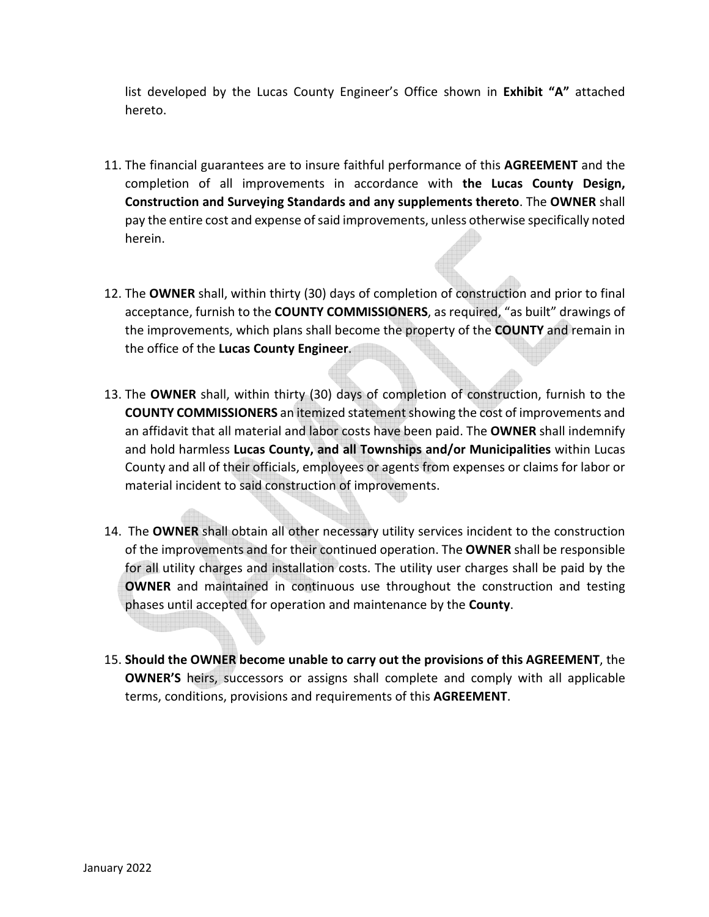list developed by the Lucas County Engineer's Office shown in **Exhibit "A"** attached hereto.

- 11. The financial guarantees are to insure faithful performance of this **AGREEMENT** and the completion of all improvements in accordance with **the Lucas County Design, Construction and Surveying Standards and any supplements thereto**. The **OWNER** shall pay the entire cost and expense of said improvements, unless otherwise specifically noted herein.
- 12. The **OWNER** shall, within thirty (30) days of completion of construction and prior to final acceptance, furnish to the **COUNTY COMMISSIONERS**, as required, "as built" drawings of the improvements, which plans shall become the property of the **COUNTY** and remain in the office of the **Lucas County Engineer**.
- 13. The **OWNER** shall, within thirty (30) days of completion of construction, furnish to the **COUNTY COMMISSIONERS** an itemized statement showing the cost of improvements and an affidavit that all material and labor costs have been paid. The **OWNER** shall indemnify and hold harmless **Lucas County, and all Townships and/or Municipalities** within Lucas County and all of their officials, employees or agents from expenses or claims for labor or material incident to said construction of improvements.
- 14. The **OWNER** shall obtain all other necessary utility services incident to the construction of the improvements and for their continued operation. The **OWNER** shall be responsible for all utility charges and installation costs. The utility user charges shall be paid by the **OWNER** and maintained in continuous use throughout the construction and testing phases until accepted for operation and maintenance by the **County**.
- 15. **Should the OWNER become unable to carry out the provisions of this AGREEMENT**, the **OWNER'S** heirs, successors or assigns shall complete and comply with all applicable terms, conditions, provisions and requirements of this **AGREEMENT**.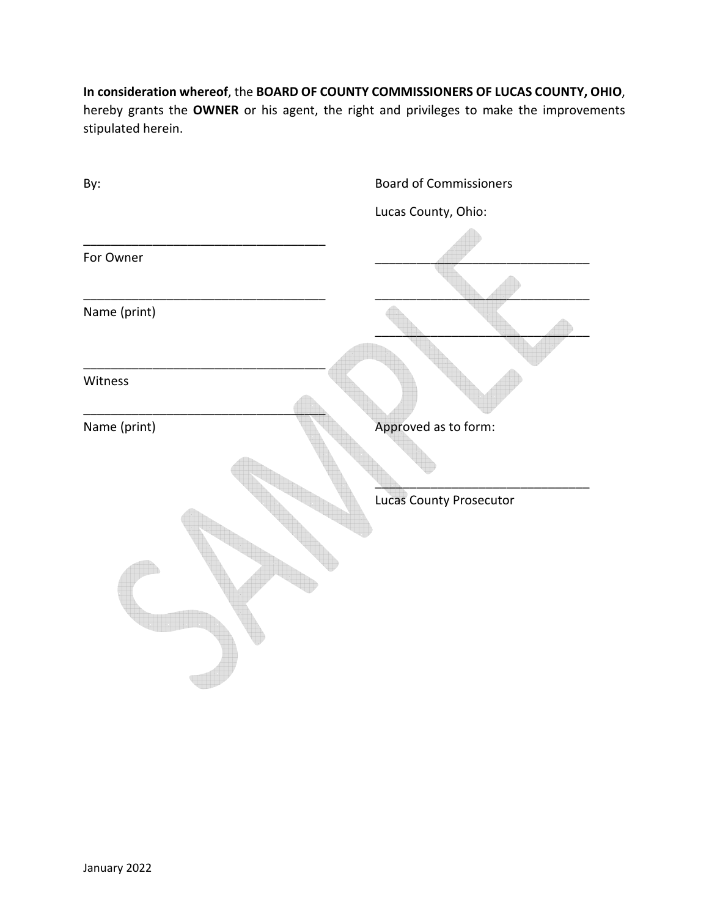**In consideration whereof**, the **BOARD OF COUNTY COMMISSIONERS OF LUCAS COUNTY, OHIO**, hereby grants the **OWNER** or his agent, the right and privileges to make the improvements stipulated herein.

| By:          | <b>Board of Commissioners</b> |
|--------------|-------------------------------|
|              | Lucas County, Ohio:           |
| For Owner    |                               |
|              |                               |
| Name (print) |                               |
|              |                               |
| Witness      |                               |
| Name (print) | Approved as to form:          |
|              |                               |
|              | Lucas County Prosecutor       |
|              |                               |
|              |                               |
|              |                               |
|              |                               |